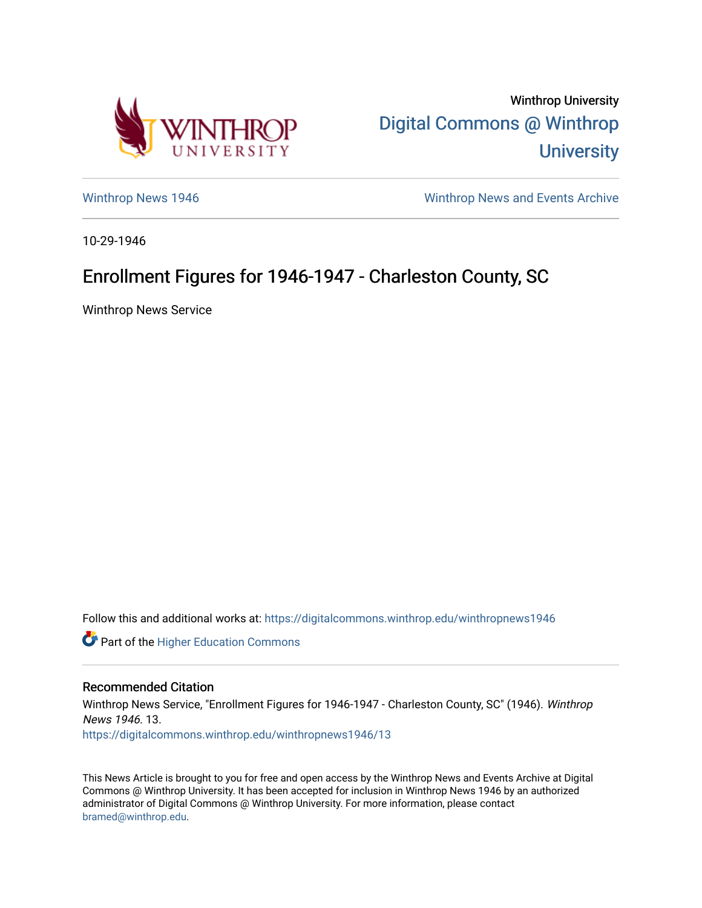

Winthrop University [Digital Commons @ Winthrop](https://digitalcommons.winthrop.edu/)  **University** 

[Winthrop News 1946](https://digitalcommons.winthrop.edu/winthropnews1946) [Winthrop News and Events Archive](https://digitalcommons.winthrop.edu/winthropnewsarchives) 

10-29-1946

## Enrollment Figures for 1946-1947 - Charleston County, SC

Winthrop News Service

Follow this and additional works at: [https://digitalcommons.winthrop.edu/winthropnews1946](https://digitalcommons.winthrop.edu/winthropnews1946?utm_source=digitalcommons.winthrop.edu%2Fwinthropnews1946%2F13&utm_medium=PDF&utm_campaign=PDFCoverPages) 

Part of the [Higher Education Commons](http://network.bepress.com/hgg/discipline/1245?utm_source=digitalcommons.winthrop.edu%2Fwinthropnews1946%2F13&utm_medium=PDF&utm_campaign=PDFCoverPages) 

## Recommended Citation Winthrop News Service, "Enrollment Figures for 1946-1947 - Charleston County, SC" (1946). Winthrop News 1946. 13. [https://digitalcommons.winthrop.edu/winthropnews1946/13](https://digitalcommons.winthrop.edu/winthropnews1946/13?utm_source=digitalcommons.winthrop.edu%2Fwinthropnews1946%2F13&utm_medium=PDF&utm_campaign=PDFCoverPages)

This News Article is brought to you for free and open access by the Winthrop News and Events Archive at Digital Commons @ Winthrop University. It has been accepted for inclusion in Winthrop News 1946 by an authorized administrator of Digital Commons @ Winthrop University. For more information, please contact [bramed@winthrop.edu.](mailto:bramed@winthrop.edu)